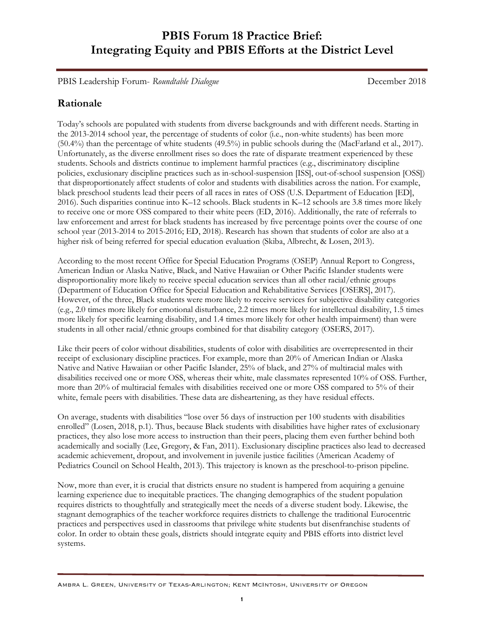PBIS Leadership Forum- *Roundtable Dialogue* December 2018

## **Rationale**

Today's schools are populated with students from diverse backgrounds and with different needs. Starting in the 2013-2014 school year, the percentage of students of color (i.e., non-white students) has been more (50.4%) than the percentage of white students (49.5%) in public schools during the (MacFarland et al., 2017). Unfortunately, as the diverse enrollment rises so does the rate of disparate treatment experienced by these students. Schools and districts continue to implement harmful practices (e.g., discriminatory discipline policies, exclusionary discipline practices such as in-school-suspension [ISS], out-of-school suspension [OSS]) that disproportionately affect students of color and students with disabilities across the nation. For example, black preschool students lead their peers of all races in rates of OSS (U.S. Department of Education [ED], 2016). Such disparities continue into K–12 schools. Black students in K–12 schools are 3.8 times more likely to receive one or more OSS compared to their white peers (ED, 2016). Additionally, the rate of referrals to law enforcement and arrest for black students has increased by five percentage points over the course of one school year (2013-2014 to 2015-2016; ED, 2018). Research has shown that students of color are also at a higher risk of being referred for special education evaluation (Skiba, Albrecht, & Losen, 2013).

According to the most recent Office for Special Education Programs (OSEP) Annual Report to Congress, American Indian or Alaska Native, Black, and Native Hawaiian or Other Pacific Islander students were disproportionality more likely to receive special education services than all other racial/ethnic groups (Department of Education Office for Special Education and Rehabilitative Services [OSERS], 2017). However, of the three, Black students were more likely to receive services for subjective disability categories (e.g., 2.0 times more likely for emotional disturbance, 2.2 times more likely for intellectual disability, 1.5 times more likely for specific learning disability, and 1.4 times more likely for other health impairment) than were students in all other racial/ethnic groups combined for that disability category (OSERS, 2017).

Like their peers of color without disabilities, students of color with disabilities are overrepresented in their receipt of exclusionary discipline practices. For example, more than 20% of American Indian or Alaska Native and Native Hawaiian or other Pacific Islander, 25% of black, and 27% of multiracial males with disabilities received one or more OSS, whereas their white, male classmates represented 10% of OSS. Further, more than 20% of multiracial females with disabilities received one or more OSS compared to 5% of their white, female peers with disabilities. These data are disheartening, as they have residual effects.

On average, students with disabilities "lose over 56 days of instruction per 100 students with disabilities enrolled" (Losen, 2018, p.1). Thus, because Black students with disabilities have higher rates of exclusionary practices, they also lose more access to instruction than their peers, placing them even further behind both academically and socially (Lee, Gregory, & Fan, 2011). Exclusionary discipline practices also lead to decreased academic achievement, dropout, and involvement in juvenile justice facilities (American Academy of Pediatrics Council on School Health, 2013). This trajectory is known as the preschool-to-prison pipeline.

Now, more than ever, it is crucial that districts ensure no student is hampered from acquiring a genuine learning experience due to inequitable practices. The changing demographics of the student population requires districts to thoughtfully and strategically meet the needs of a diverse student body. Likewise, the stagnant demographics of the teacher workforce requires districts to challenge the traditional Eurocentric practices and perspectives used in classrooms that privilege white students but disenfranchise students of color. In order to obtain these goals, districts should integrate equity and PBIS efforts into district level systems.

Ambra L. Green, University of Texas-Arlington; Kent McIntosh, University of Oregon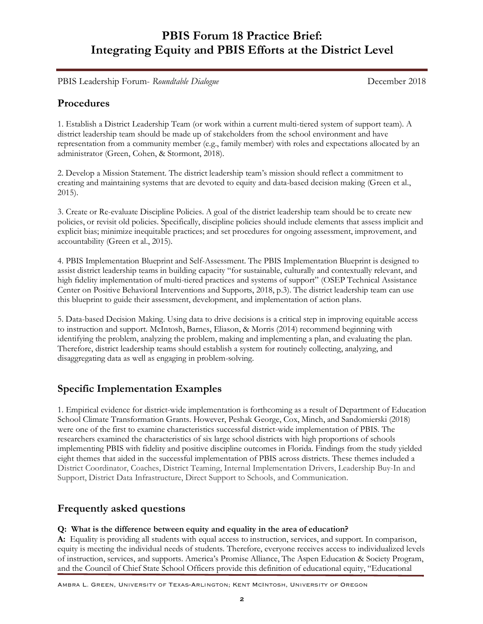PBIS Leadership Forum- *Roundtable Dialogue* December 2018

### **Procedures**

1. Establish a District Leadership Team (or work within a current multi-tiered system of support team). A district leadership team should be made up of stakeholders from the school environment and have representation from a community member (e.g., family member) with roles and expectations allocated by an administrator (Green, Cohen, & Stormont, 2018).

2. Develop a Mission Statement. The district leadership team's mission should reflect a commitment to creating and maintaining systems that are devoted to equity and data-based decision making (Green et al., 2015).

3. Create or Re-evaluate Discipline Policies. A goal of the district leadership team should be to create new policies, or revisit old policies. Specifically, discipline policies should include elements that assess implicit and explicit bias; minimize inequitable practices; and set procedures for ongoing assessment, improvement, and accountability (Green et al., 2015).

4. PBIS Implementation Blueprint and Self-Assessment. The PBIS Implementation Blueprint is designed to assist district leadership teams in building capacity "for sustainable, culturally and contextually relevant, and high fidelity implementation of multi-tiered practices and systems of support" (OSEP Technical Assistance Center on Positive Behavioral Interventions and Supports, 2018, p.3). The district leadership team can use this blueprint to guide their assessment, development, and implementation of action plans.

5. Data-based Decision Making. Using data to drive decisions is a critical step in improving equitable access to instruction and support. McIntosh, Barnes, Eliason, & Morris (2014) recommend beginning with identifying the problem, analyzing the problem, making and implementing a plan, and evaluating the plan. Therefore, district leadership teams should establish a system for routinely collecting, analyzing, and disaggregating data as well as engaging in problem-solving.

## **Specific Implementation Examples**

1. Empirical evidence for district-wide implementation is forthcoming as a result of Department of Education School Climate Transformation Grants. However, Peshak George, Cox, Minch, and Sandomierski (2018) were one of the first to examine characteristics successful district-wide implementation of PBIS. The researchers examined the characteristics of six large school districts with high proportions of schools implementing PBIS with fidelity and positive discipline outcomes in Florida. Findings from the study yielded eight themes that aided in the successful implementation of PBIS across districts. These themes included a District Coordinator, Coaches, District Teaming, Internal Implementation Drivers, Leadership Buy-In and Support, District Data Infrastructure, Direct Support to Schools, and Communication.

## **Frequently asked questions**

#### **Q: What is the difference between equity and equality in the area of education?**

**A:** Equality is providing all students with equal access to instruction, services, and support. In comparison, equity is meeting the individual needs of students. Therefore, everyone receives access to individualized levels of instruction, services, and supports. America's Promise Alliance, The Aspen Education & Society Program, and the Council of Chief State School Officers provide this definition of educational equity, "Educational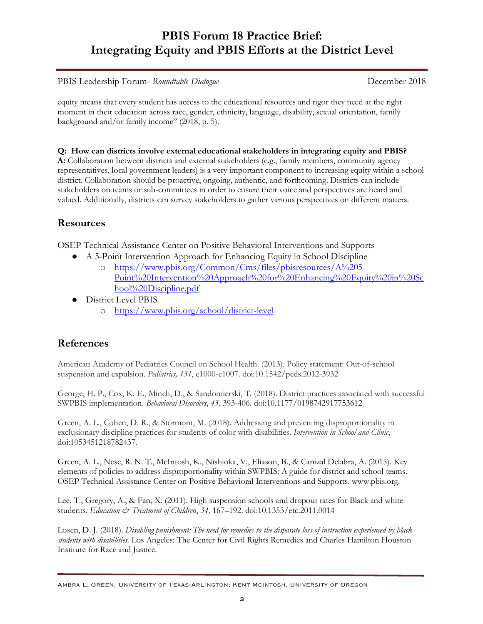PBIS Leadership Forum- *Roundtable Dialogue* December 2018

equity means that every student has access to the educational resources and rigor they need at the right moment in their education across race, gender, ethnicity, language, disability, sexual orientation, family background and/or family income" (2018, p. 5).

**Q: How can districts involve external educational stakeholders in integrating equity and PBIS? A:** Collaboration between districts and external stakeholders (e.g., family members, community agency representatives, local government leaders) is a very important component to increasing equity within a school district. Collaboration should be proactive, ongoing, authentic, and forthcoming. Districts can include stakeholders on teams or sub-committees in order to ensure their voice and perspectives are heard and valued. Additionally, districts can survey stakeholders to gather various perspectives on different matters.

## **Resources**

OSEP Technical Assistance Center on Positive Behavioral Interventions and Supports

- A 5-Point Intervention Approach for Enhancing Equity in School Discipline
	- o https://www.pbis.org/Common/Cms/files/pbisresources/A%205- Point%20Intervention%20Approach%20for%20Enhancing%20Equity%20in%20Sc hool%20Discipline.pdf
- District Level PBIS
	- o https://www.pbis.org/school/district-level

# **References**

American Academy of Pediatrics Council on School Health. (2013). Policy statement: Out-of-school suspension and expulsion. *Pediatrics, 131*, e1000-e1007. doi:10.1542/peds.2012-3932

George, H. P., Cox, K. E., Minch, D., & Sandomierski, T. (2018). District practices associated with successful SWPBIS implementation. *Behavioral Disorders*, *43*, 393-406. doi:10.1177/0198742917753612

Green, A. L., Cohen, D. R., & Stormont, M. (2018). Addressing and preventing disproportionality in exclusionary discipline practices for students of color with disabilities. *Intervention in School and Clinic*, doi:1053451218782437.

Green, A. L., Nese, R. N. T., McIntosh, K., Nishioka, V., Eliason, B., & Canizal Delabra, A. (2015). Key elements of policies to address disproportionality within SWPBIS: A guide for district and school teams. OSEP Technical Assistance Center on Positive Behavioral Interventions and Supports. www.pbis.org.

Lee, T., Gregory, A., & Fan, X. (2011). High suspension schools and dropout rates for Black and white students. *Education & Treatment of Children*, *34*, 167–192. doi:10.1353/etc.2011.0014

Losen, D. J. (2018). *Disabling punishment: The need for remedies to the disparate loss of instruction experienced by black students with disabilities.* Los Angeles: The Center for Civil Rights Remedies and Charles Hamilton Houston Institute for Race and Justice.

Ambra L. Green, University of Texas-Arlington; Kent McIntosh, University of Oregon